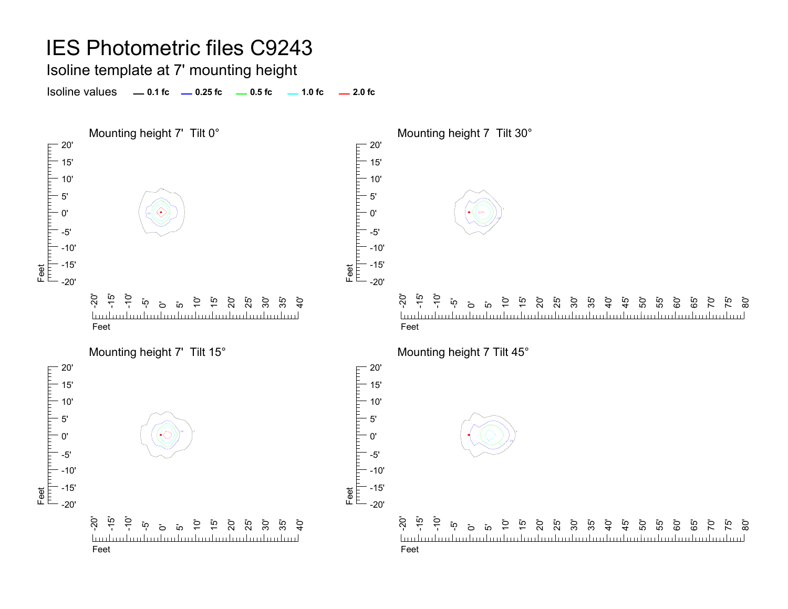Isoline template at 7' mounting height

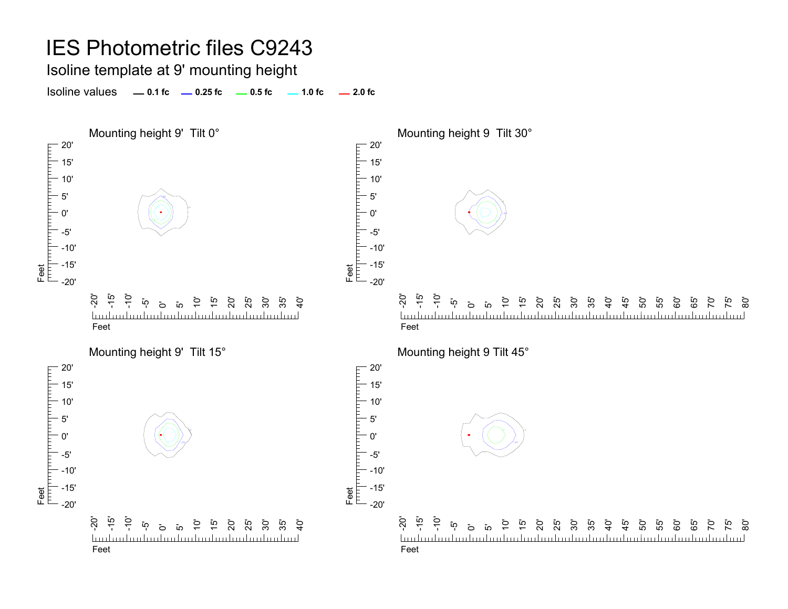Isoline template at 9' mounting height

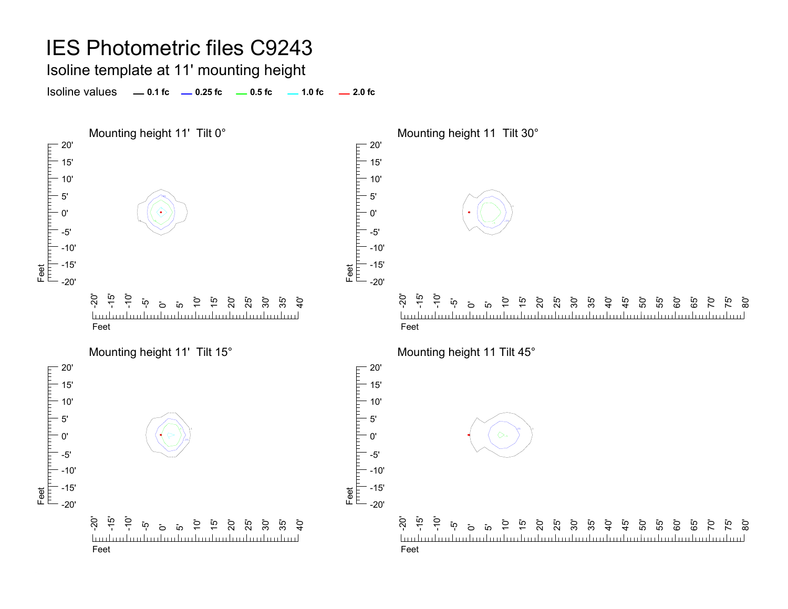# IES Photometric files C9243 Isoline template at 11' mounting height

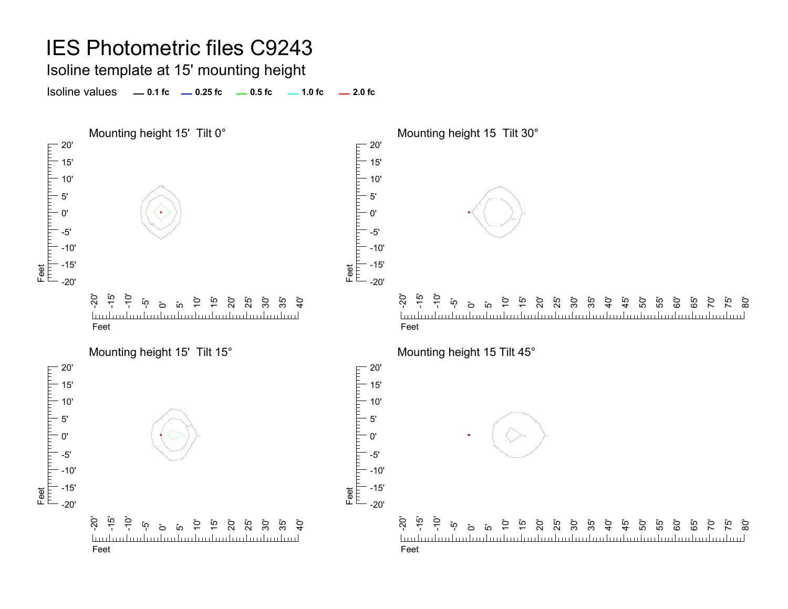Isoline template at 15' mounting height

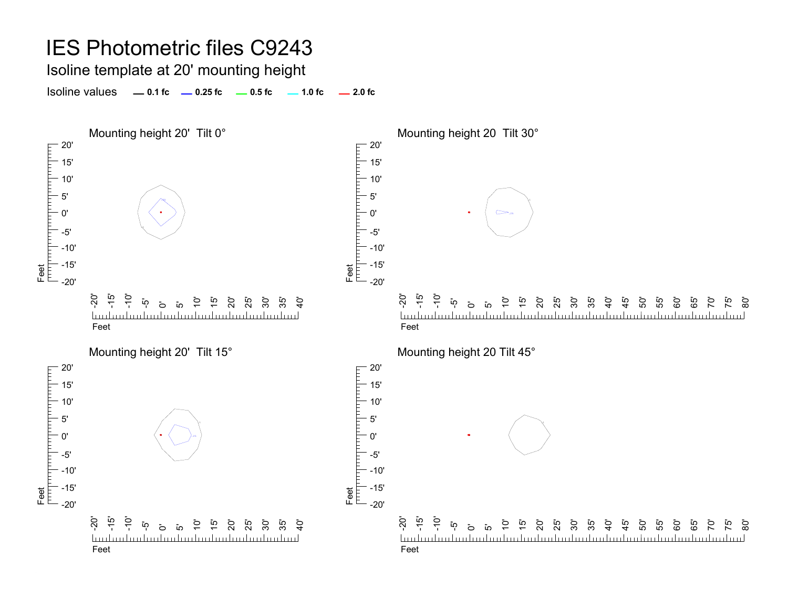Isoline template at 20' mounting height